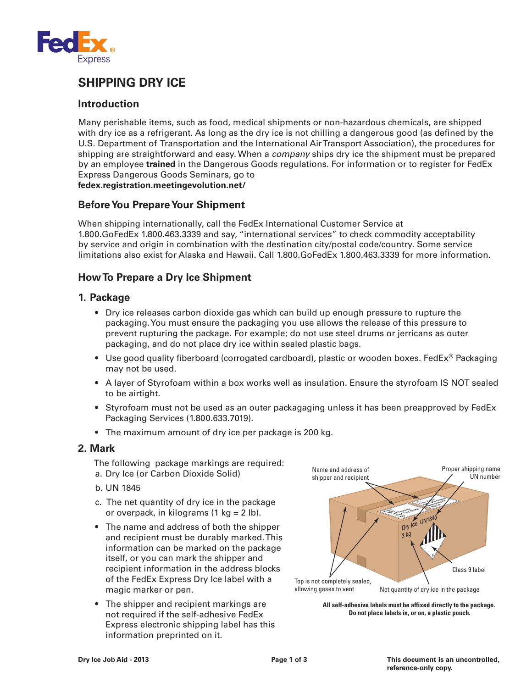

## **SHIPPING DRY ICE**

#### **Introduction**

Many perishable items, such as food, medical shipments or non-hazardous chemicals, are shipped with dry ice as a refrigerant. As long as the dry ice is not chilling a dangerous good (as defined by the U.S. Department of Transportation and the International Air Transport Association), the procedures for shipping are straightforward and easy. When a *company* ships dry ice the shipment must be prepared by an employee **trained** in the Dangerous Goods regulations. For information or to register for FedEx Express Dangerous Goods Seminars, go to **fedex.registration.meetingevolution.net/**

# **Before You Prepare Your Shipment**

When shipping internationally, call the FedEx International Customer Service at 1.800.GoFedEx 1.800.463.3339 and say, "international services" to check commodity acceptability by service and origin in combination with the destination city/postal code/country. Some service limitations also exist for Alaska and Hawaii. Call 1.800.GoFedEx 1.800.463.3339 for more information.

### **How To Prepare a Dry Ice Shipment**

#### **1. Package**

- Dry ice releases carbon dioxide gas which can build up enough pressure to rupture the packaging. You must ensure the packaging you use allows the release of this pressure to prevent rupturing the package. For example; do not use steel drums or jerricans as outer packaging, and do not place dry ice within sealed plastic bags.
- Use good quality fiberboard (corrogated cardboard), plastic or wooden boxes. FedEx<sup>®</sup> Packaging may not be used.
- A layer of Styrofoam within a box works well as insulation. Ensure the styrofoam IS NOT sealed to be airtight.
- Styrofoam must not be used as an outer packagaging unless it has been preapproved by FedEx Packaging Services (1.800.633.7019).
- The maximum amount of dry ice per package is 200 kg.

#### **2. Mark**

The following package markings are required:

- a. Dry Ice (or Carbon Dioxide Solid)
- b. UN 1845
- c. The net quantity of dry ice in the package or overpack, in kilograms  $(1 \text{ kg} = 2 \text{ lb}).$
- The name and address of both the shipper and recipient must be durably marked. This information can be marked on the package itself, or you can mark the shipper and recipient information in the address blocks of the FedEx Express Dry Ice label with a magic marker or pen.
- The shipper and recipient markings are not required if the self-adhesive FedEx Express electronic shipping label has this information preprinted on it.



**All self-adhesive labels must be affixed directly to the package. Do not place labels in, or on, a plastic pouch.**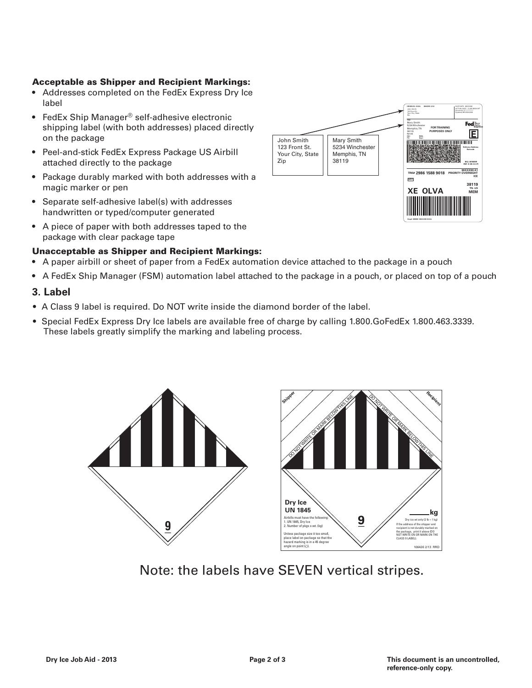#### Acceptable as Shipper and Recipient Markings:

- Addresses completed on the FedEx Express Dry Ice label
- FedEx Ship Manager® self-adhesive electronic shipping label (with both addresses) placed directly on the package
- Peel-and-stick FedEx Express Package US Airbill attached directly to the package
- Package durably marked with both addresses with a magic marker or pen
- Separate self-adhesive label(s) with addresses handwritten or typed/computer generated
- A piece of paper with both addresses taped to the package with clear package tape



- Unacceptable as Shipper and Recipient Markings:
- A paper airbill or sheet of paper from a FedEx automation device attached to the package in a pouch
- A FedEx Ship Manager (FSM) automation label attached to the package in a pouch, or placed on top of a pouch

#### **3. Label**

- A Class 9 label is required. Do NOT write inside the diamond border of the label.
- Special FedEx Express Dry Ice labels are available free of charge by calling 1.800.GoFedEx 1.800.463.3339. These labels greatly simplify the marking and labeling process.





Note: the labels have SEVEN vertical stripes.